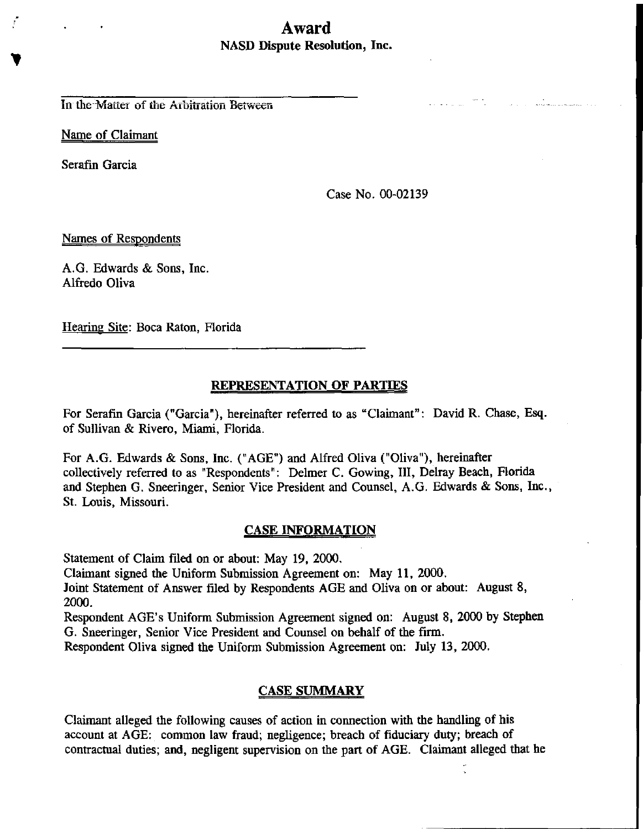# Award NASD Dispute Resolution, Inc.

In the Matter of the Arbitration Between

Name of Claimant

Serafin Garcia

Case No. 00-02139

Names of Respondents

A.G. Edwards & Sons, Inc. Alfredo Oliva

Hearing Site: Boca Raton, Florida

# **REPRESENTATION OF PARTIES**

For Serafin Garcia ("Garcia"), hereinafter referred to as "Claimant": David R. Chase, Esq. of Sullivan & Rivero, Miami, Florida.

For A.G. Edwards & Sons, Inc. ("AGE") and Alfred Oliva ("Oliva"), hereinafter collectively referred to as "Respondents": Delmer C. Gowing, III, Delray Beach, Florida and Stephen G. Sneeringer, Senior Vice President and Counsel, A.G. Edwards & Sons, Inc., St. Louis, Missouri.

# CASE INFORMATION

Statement of Claim filed on or about: May 19, 2000,

Claimant signed the Uniform Submission Agreement on: May 11, 2000.

Joint Statement of Answer filed by Respondents AGE and Oliva on or about: August 8, 2000.

Respondent AGE's Uniform Submission Agreement signed on: August 8, 2000 by Stephen G. Sneeringer, Senior Vice President and Counsel on behalf of the firm.

Respondent Oliva signed the Uniform Submission Agreement on: July 13, 2000.

# CASE SUMMARY

Claimant alleged the following causes of action in connection with the handling of his account at AGE: common law fraud; negligence; breach of fiduciary duty; breach of contractual duties; and, negligent supervision on the part of AGE. Claimant alleged that he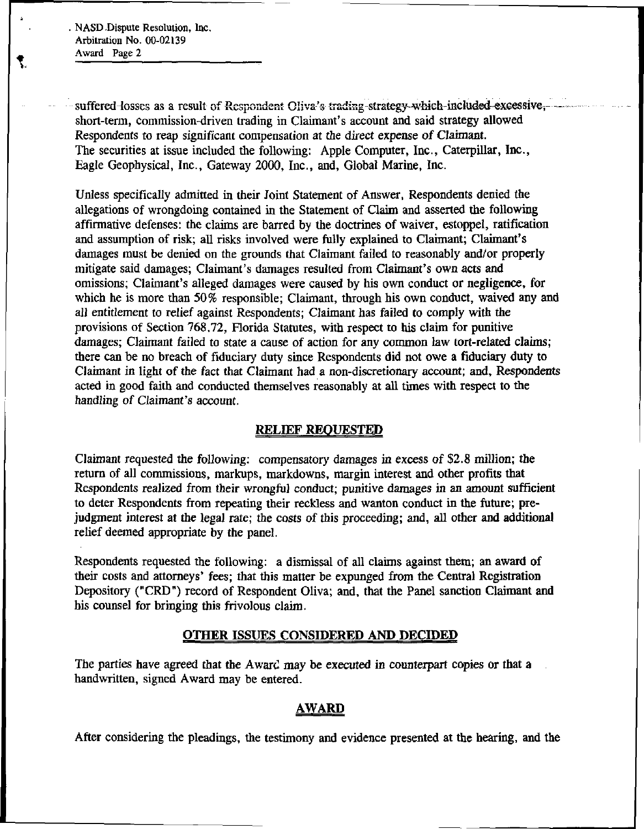, NASD .Dispute Resolution, Inc. Arbitration No. 00-02139 Award Page 2

suffered losses as a result of Respondent Oliva's trading strategy-which-included excessive, short-term, commission-driven trading in Claimant's account and said strategy allowed Respondents to reap significant compensation at the direct expense of Claimant. The securities at issue included the following: Apple Computer, Inc., Caterpillar, Inc., Eagle Geophysical, Inc., Gateway 2000, Inc., and, Global Marine, Inc.

Unless specifically admitted in their Joint Statement of Answer, Respondents denied the allegations of wrongdoing contained in the Statement of Claim and asserted the following affirmative defenses: the claims are barred by the doctrines of waiver, estoppel, ratification and assumption of risk; all risks involved were fully explained to Claimant; Claimant's damages must be denied on the grounds that Claimant failed to reasonably and/or properly mitigate said damages; Claimant's damages resulted from Claimant's own acts and omissions; Claimant's alleged damages were caused by his own conduct or negligence, for which he is more than 50% responsible; Claimant, through his own conduct, waived any and all entitlement to relief against Respondents; Claimant has failed to comply with the provisions of Section 768.72, Florida Statutes, with respect to his claim for punitive damages; Claimant failed to state a cause of action for any common law tort-related claims; there can be no breach of fiduciary duty since Respondents did not owe a fiduciary duty to Claimant in light of the fact that Claimant had a non-discretionary account; and, Respondents acted in good faith and conducted themselves reasonably at all times with respect to the handling of Claimant's account.

## RELIEF REQUESTED

Claimant requested the following: compensatory damages in excess of \$2.8 million; the return of all commissions, markups, markdowns, margin interest and other profits that Respondents realized from their wrongful conduct; punitive damages in an amount sufficient to deter Respondents from repeating their reckless and wanton conduct in the future; prejudgment interest at the legal rate; the costs of this proceeding; and, all other and additional relief deemed appropriate by the panel.

Respondents requested the following: a dismissal of all claims against them; an award of their costs and attorneys' fees; that this matter be expunged from the Central Registration Depository ("CRD") record of Respondent Oliva; and, that the Panel sanction Claimant and his counsel for bringing this frivolous claim.

#### OTHER ISSUES CONSIDERED AND DECIDED

The parties have agreed that the Award may be executed in counterpart copies or that a handwritten, signed Award may be entered.

## AWARD

After considering the pleadings, the testimony and evidence presented at the hearing, and the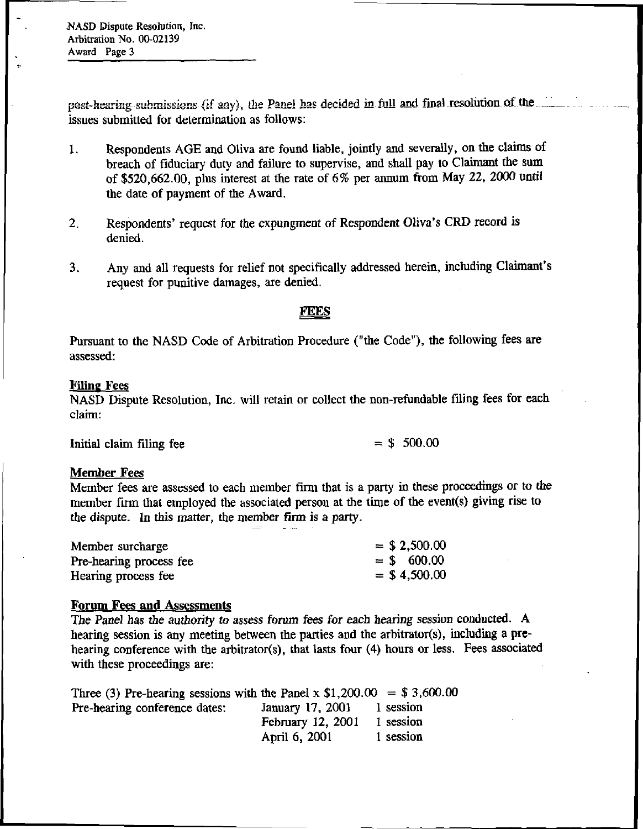NASD Dispute Resolution, Inc. Arbitration No. 00-02139 Award Page 3

post-hearing submissions (if any), the Panel has decided in full and final resolution of the issues submitted for determination as follows:

- 1. Respondents AGE and Oliva are found liable, jointly and severally, on the claims of breach of fiduciary duty and failure to supervise, and shall pay to Claimant the sum of \$520,662.00, plus interest at the rate of 6% per annum from May 22, 2000 until the date of payment of the Award.
- 2. Respondents' request for the expungment of Respondent Oliva's CRD record is denied.
- 3. Any and all requests for relief not specifically addressed herein, including Claimant's request for punitive damages, are denied.

## FEES

Pursuant to the NASD Code of Arbitration Procedure ("the Code"), the following fees are assessed:

## Filing Fees

NASD Dispute Resolution, Inc. will retain or collect the non-refundable filing fees for each claim:

Initial claim filing fee  $= $500.00$ 

## Member Fees

Member fees are assessed to each member firm that is a party in these proceedings or to the member firm that employed the associated person at the time of the event(s) giving rise to the dispute. In this matter, the member firm is a party.

| Member surcharge        | $=$ \$ 2,500.00 |
|-------------------------|-----------------|
| Pre-hearing process fee | $=$ \$ 600.00   |
| Hearing process fee     | $=$ \$4,500.00  |

## Forum Fees and Assessments

The Panel has the authority to assess forum fees for each hearing session conducted. A hearing session is any meeting between the parties and the arbitrator(s), including a prehearing conference with the arbitrator(s), that lasts four (4) hours or less. Fees associated with these proceedings are:

| Three (3) Pre-hearing sessions with the Panel x $$1,200.00 = $3,600.00$ |                          |           |
|-------------------------------------------------------------------------|--------------------------|-----------|
| Pre-hearing conference dates:                                           | January 17, 2001         | 1 session |
|                                                                         | <b>February 12, 2001</b> | 1 session |
|                                                                         | April 6, 2001            | 1 session |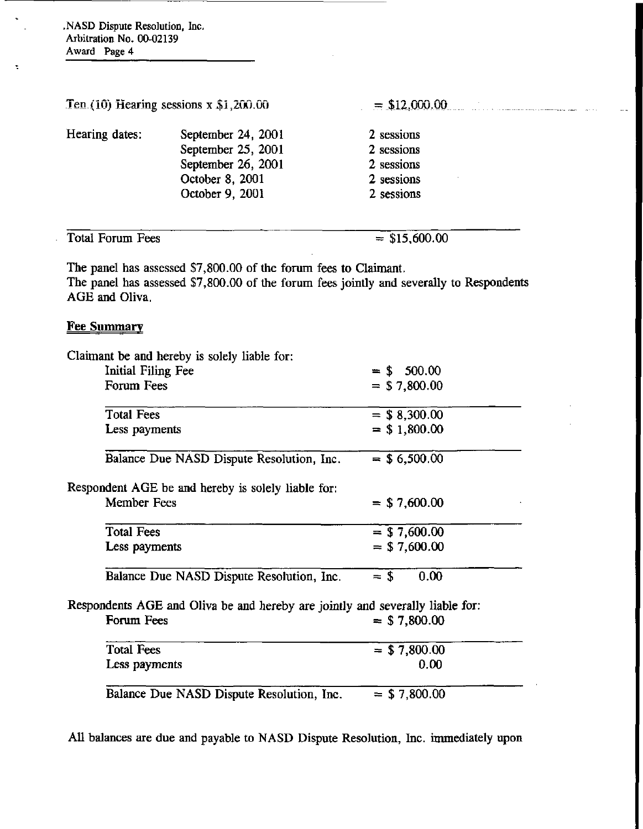.NASD Dispute Resolution, Inc. Arbitration No. 00-02139 Award Page 4

 $\tilde{\mathbf{z}}$ 

| Ten $(10)$ Hearing sessions x \$1,200.00                                                                                                                     |                                                                               | $=$ \$12,000.00 |  |  |
|--------------------------------------------------------------------------------------------------------------------------------------------------------------|-------------------------------------------------------------------------------|-----------------|--|--|
| Hearing dates:                                                                                                                                               | September 24, 2001                                                            | 2 sessions      |  |  |
|                                                                                                                                                              | September 25, 2001                                                            | 2 sessions      |  |  |
|                                                                                                                                                              | September 26, 2001                                                            | 2 sessions      |  |  |
|                                                                                                                                                              | October 8, 2001                                                               | 2 sessions      |  |  |
|                                                                                                                                                              | October 9, 2001                                                               | 2 sessions      |  |  |
|                                                                                                                                                              |                                                                               |                 |  |  |
| <b>Total Forum Fees</b>                                                                                                                                      |                                                                               | $=$ \$15,600.00 |  |  |
| The panel has assessed \$7,800.00 of the forum fees to Claimant.<br>The panel has assessed \$7,800.00 of the forum fees jointly and severally to Respondents |                                                                               |                 |  |  |
| AGE and Oliva.                                                                                                                                               |                                                                               |                 |  |  |
| <b>Fee Summary</b>                                                                                                                                           |                                                                               |                 |  |  |
|                                                                                                                                                              | Claimant be and hereby is solely liable for:                                  |                 |  |  |
| Initial Filing Fee                                                                                                                                           |                                                                               | \$500.00        |  |  |
| Forum Fees                                                                                                                                                   |                                                                               | $=$ \$ 7,800.00 |  |  |
|                                                                                                                                                              |                                                                               |                 |  |  |
| <b>Total Fees</b>                                                                                                                                            |                                                                               | $=$ \$ 8,300.00 |  |  |
| Less payments                                                                                                                                                |                                                                               | $= $1,800.00$   |  |  |
|                                                                                                                                                              | Balance Due NASD Dispute Resolution, Inc.                                     | $=$ \$ 6,500.00 |  |  |
|                                                                                                                                                              | Respondent AGE be and hereby is solely liable for:                            |                 |  |  |
| <b>Member Fees</b>                                                                                                                                           |                                                                               | $=$ \$ 7,600.00 |  |  |
| <b>Total Fees</b>                                                                                                                                            |                                                                               | $=$ \$7,600.00  |  |  |
| Less payments                                                                                                                                                |                                                                               | $=$ \$7,600.00  |  |  |
|                                                                                                                                                              | Balance Due NASD Dispute Resolution, Inc.                                     | 0.00<br>$=$ \$  |  |  |
|                                                                                                                                                              |                                                                               |                 |  |  |
| Forum Fees                                                                                                                                                   | Respondents AGE and Oliva be and hereby are jointly and severally liable for: | $=$ \$7,800.00  |  |  |
|                                                                                                                                                              |                                                                               |                 |  |  |
| <b>Total Fees</b>                                                                                                                                            |                                                                               | $=$ \$ 7,800.00 |  |  |
| Less payments                                                                                                                                                |                                                                               | 0.00            |  |  |
|                                                                                                                                                              |                                                                               |                 |  |  |
|                                                                                                                                                              | Balance Due NASD Dispute Resolution, Inc.                                     | $=$ \$ 7,800.00 |  |  |

All balances are due and payable to NASD Dispute Resolution, Inc. immediately upon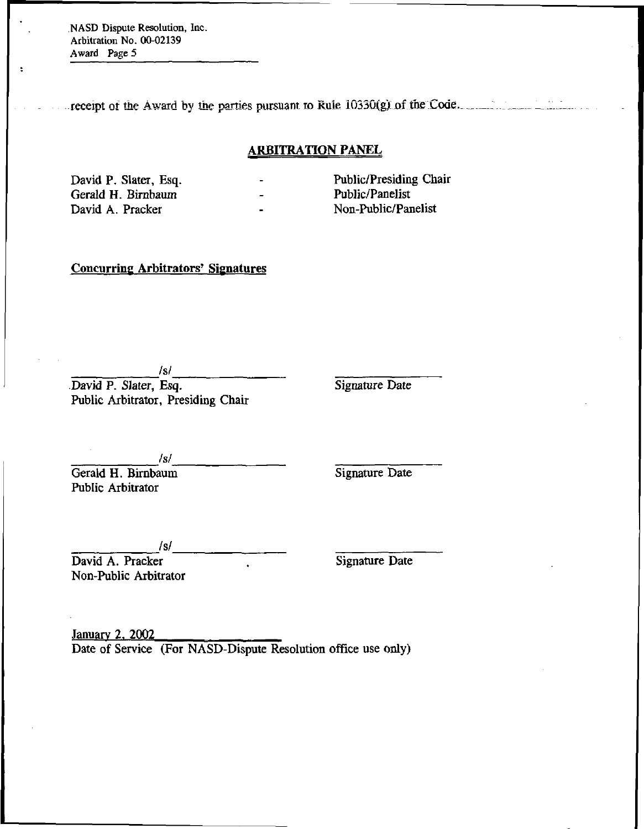.NASD Dispute Resolution, Inc. Arbitration No. 00-02139 Award Page 5

receipt of the Award by the parties pursuant to Rule 10330(g) of the Code.

# ARBITRATION PANEL

David P. Slater, Esq. Gerald H. Birnbaum David A. Pracker

Public/Presiding Chair Public/Panelist

Non-Public/Panelist

## Concurring Arbitrators' Signatures

/s/

David P. Slater, Esq. Public Arbitrator, Presiding Chair Signature Date

 $/s/$ 

Gerald H. Birnbaum Public Arbitrator

Signature Date

/s/

David A. Pracker Non-Public Arbitrator Signature Date

January 2. 2002 Date of Service (For NASD-Dispute Resolution office use only)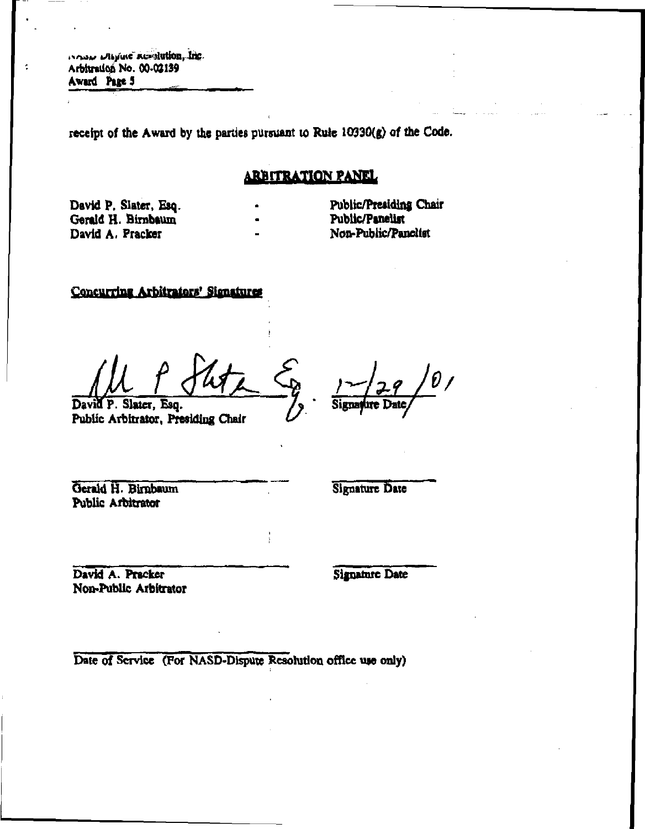wase ellipsus accelution, Inc. Arbitration No. 00-02139 Award Page 5

ċ

receipt of the Award by the parties pursuant to Rule 10330(g) of the Code.

# ARBITRATION PANEL

David P. Slater, Esq. Gerald H. Birnbaum David A. Pracker

- Public/Presiding Chair
	- **Public/Panelist** Non-Public/Panelist

Concurring Arbitrators' Signatures

David P. Slater, Esq. Public Arbitrator, Presiding Chair

Signat

Gerald H. Birnbaum Public Arbitrator

**Signature Date** 

**Signature Date** 

David A. Pracker Non-Public Arbitrator

Date of Service (For NASD-Dispute Resolution office use only)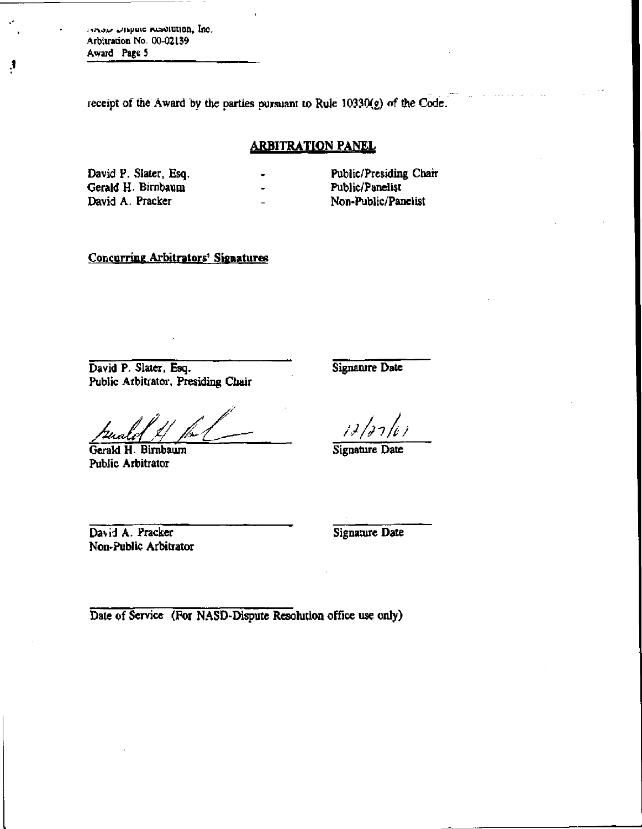(ANOLE DISPUIS RESOLUTION, Inc. Arbitration No. 00-02139 Award Page 5

 $\mathbf{J}$ 

receipt of the Award by the parties pursuant to Rule 10330(g) of the Code.

## ARBITRATION PANEL

David P. Slater, Esq. Gerald H. Birnbaum David A. Pracker

Public/Presiding Chair Public/Panelist Non-Public/Panclist

# Concurring Arbitrators' Signatures

David P. Slater, Esq. Public Arbitrator, Presiding Chair Signature Date

Gerald H. Birnbaum PubJic Arbitrator

 $17/37$ 

Signature Date

David A. Pracker Non-Public Arbitrator Signature Date

Date of Service (For NASD-Dispute Resolution office use only)